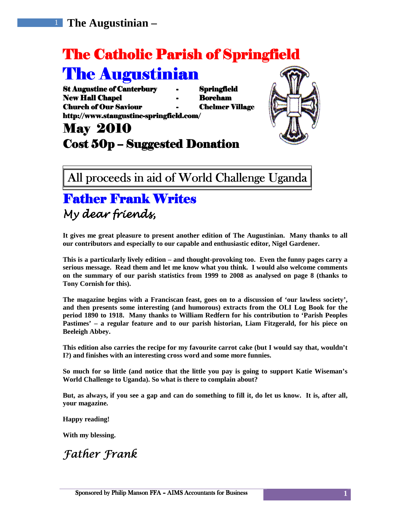# The Catholic Parish of Springfield

# **The Augustinian**

St Augustine of Canterbury - Springfield New Hall Chapel **Hall Chapel Accord - Boreham** Church of Our Saviour Saviour - Chelmer Village Village http://www.staugustine-springfield.com/

# May 2010 Cost  $50p -$  Suggested Donation

All proceeds in aid of World Challenge Uganda

### **Father Frank Writes** My dear friends, My dear friends,

**It gives me great pleasure to present another edition of The Augustinian. Many thanks to all our contributors and especially to our capable and enthusiastic editor, Nigel Gardener.** 

**This is a particularly lively edition – and thought-provoking too. Even the funny pages carry a serious message. Read them and let me know what you think. I would also welcome comments on the summary of our parish statistics from 1999 to 2008 as analysed on page 8 (thanks to Tony Cornish for this).** 

**The magazine begins with a Franciscan feast, goes on to a discussion of 'our lawless society', and then presents some interesting (and humorous) extracts from the OLI Log Book for the period 1890 to 1918. Many thanks to William Redfern for his contribution to 'Parish Peoples Pastimes' – a regular feature and to our parish historian, Liam Fitzgerald, for his piece on Beeleigh Abbey.** 

This edition also carries the recipe for my favourite carrot cake (but I would say that, wouldn't **I?) and finishes with an interesting cross word and some more funnies.** 

**So much for so little (and notice that the little you pay is going to support Katie Wiseman's World Challenge to Uganda). So what is there to complain about?** 

**But, as always, if you see a gap and can do something to fill it, do let us know. It is, after all, your magazine.** 

**Happy reading!** 

**With my blessing.** 

### Father Frank



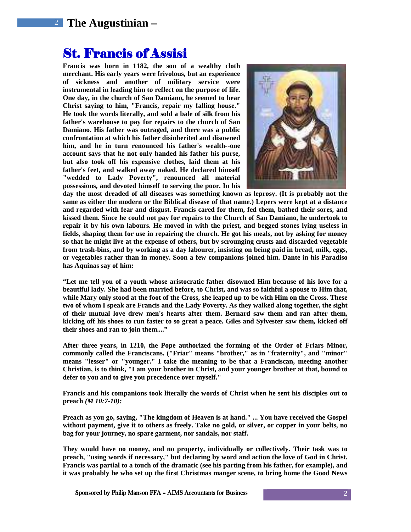### St. Francis of Assisi

**Francis was born in 1182, the son of a wealthy cloth merchant. His early years were frivolous, but an experience of sickness and another of military service were instrumental in leading him to reflect on the purpose of life. One day, in the church of San Damiano, he seemed to hear Christ saying to him, "Francis, repair my falling house." He took the words literally, and sold a bale of silk from his father's warehouse to pay for repairs to the church of San Damiano. His father was outraged, and there was a public confrontation at which his father disinherited and disowned him, and he in turn renounced his father's wealth--one account says that he not only handed his father his purse, but also took off his expensive clothes, laid them at his father's feet, and walked away naked. He declared himself "wedded to Lady Poverty", renounced all material possessions, and devoted himself to serving the poor. In his** 



**day the most dreaded of all diseases was something known as leprosy. (It is probably not the same as either the modern or the Biblical disease of that name.) Lepers were kept at a distance and regarded with fear and disgust. Francis cared for them, fed them, bathed their sores, and kissed them. Since he could not pay for repairs to the Church of San Damiano, he undertook to repair it by his own labours. He moved in with the priest, and begged stones lying useless in fields, shaping them for use in repairing the church. He got his meals, not by asking for money so that he might live at the expense of others, but by scrounging crusts and discarded vegetable from trash-bins, and by working as a day labourer, insisting on being paid in bread, milk, eggs, or vegetables rather than in money. Soon a few companions joined him. Dante in his Paradiso has Aquinas say of him:** 

**"Let me tell you of a youth whose aristocratic father disowned Him because of his love for a beautiful lady. She had been married before, to Christ, and was so faithful a spouse to Him that, while Mary only stood at the foot of the Cross, she leaped up to be with Him on the Cross. These two of whom I speak are Francis and the Lady Poverty. As they walked along together, the sight of their mutual love drew men's hearts after them. Bernard saw them and ran after them, kicking off his shoes to run faster to so great a peace. Giles and Sylvester saw them, kicked off their shoes and ran to join them...."** 

**After three years, in 1210, the Pope authorized the forming of the Order of Friars Minor, commonly called the Franciscans. ("Friar" means "brother," as in "fraternity", and "minor" means "lesser" or "younger." I take the meaning to be that a Franciscan, meeting another Christian, is to think, "I am your brother in Christ, and your younger brother at that, bound to defer to you and to give you precedence over myself."** 

**Francis and his companions took literally the words of Christ when he sent his disciples out to preach** *(M 10:7-10):*

**Preach as you go, saying, "The kingdom of Heaven is at hand." ... You have received the Gospel without payment, give it to others as freely. Take no gold, or silver, or copper in your belts, no bag for your journey, no spare garment, nor sandals, nor staff.** 

**They would have no money, and no property, individually or collectively. Their task was to preach, "using words if necessary," but declaring by word and action the love of God in Christ. Francis was partial to a touch of the dramatic (see his parting from his father, for example), and it was probably he who set up the first Christmas manger scene, to bring home the Good News**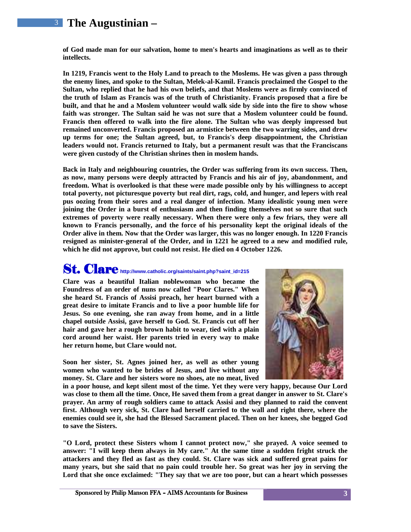**of God made man for our salvation, home to men's hearts and imaginations as well as to their intellects.** 

**In 1219, Francis went to the Holy Land to preach to the Moslems. He was given a pass through the enemy lines, and spoke to the Sultan, Melek-al-Kamil. Francis proclaimed the Gospel to the Sultan, who replied that he had his own beliefs, and that Moslems were as firmly convinced of the truth of Islam as Francis was of the truth of Christianity. Francis proposed that a fire be built, and that he and a Moslem volunteer would walk side by side into the fire to show whose**  faith was stronger. The Sultan said he was not sure that a Moslem volunteer could be found. **Francis then offered to walk into the fire alone. The Sultan who was deeply impressed but remained unconverted. Francis proposed an armistice between the two warring sides, and drew up terms for one; the Sultan agreed, but, to Francis's deep disappointment, the Christian leaders would not. Francis returned to Italy, but a permanent result was that the Franciscans were given custody of the Christian shrines then in moslem hands.** 

**Back in Italy and neighbouring countries, the Order was suffering from its own success. Then, as now, many persons were deeply attracted by Francis and his air of joy, abandonment, and freedom. What is overlooked is that these were made possible only by his willingness to accept total poverty, not picturesque poverty but real dirt, rags, cold, and hunger, and lepers with real pus oozing from their sores and a real danger of infection. Many idealistic young men were joining the Order in a burst of enthusiasm and then finding themselves not so sure that such extremes of poverty were really necessary. When there were only a few friars, they were all known to Francis personally, and the force of his personality kept the original ideals of the Order alive in them. Now that the Order was larger, this was no longer enough. In 1220 Francis resigned as minister-general of the Order, and in 1221 he agreed to a new and modified rule, which he did not approve, but could not resist. He died on 4 October 1226.** 

### St. Clare **http://www.catholic.org/saints/saint.php?saint\_id=215**

**Clare was a beautiful Italian noblewoman who became the Foundress of an order of nuns now called "Poor Clares." When she heard St. Francis of Assisi preach, her heart burned with a great desire to imitate Francis and to live a poor humble life for Jesus. So one evening, she ran away from home, and in a little chapel outside Assisi, gave herself to God. St. Francis cut off her hair and gave her a rough brown habit to wear, tied with a plain cord around her waist. Her parents tried in every way to make her return home, but Clare would not.** 

**Soon her sister, St. Agnes joined her, as well as other young women who wanted to be brides of Jesus, and live without any money. St. Clare and her sisters wore no shoes, ate no meat, lived** 



**in a poor house, and kept silent most of the time. Yet they were very happy, because Our Lord was close to them all the time. Once, He saved them from a great danger in answer to St. Clare's prayer. An army of rough soldiers came to attack Assisi and they planned to raid the convent first. Although very sick, St. Clare had herself carried to the wall and right there, where the enemies could see it, she had the Blessed Sacrament placed. Then on her knees, she begged God to save the Sisters.** 

**"O Lord, protect these Sisters whom I cannot protect now," she prayed. A voice seemed to answer: "I will keep them always in My care." At the same time a sudden fright struck the attackers and they fled as fast as they could. St. Clare was sick and suffered great pains for many years, but she said that no pain could trouble her. So great was her joy in serving the Lord that she once exclaimed: "They say that we are too poor, but can a heart which possesses**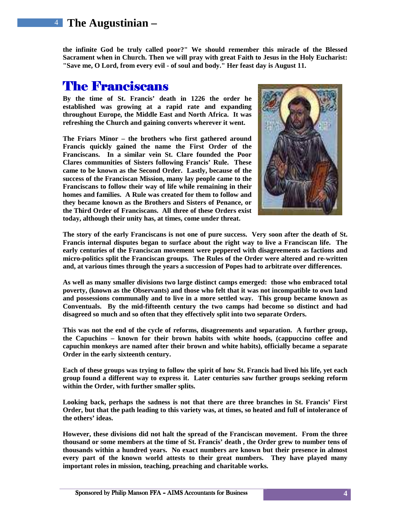**the infinite God be truly called poor?" We should remember this miracle of the Blessed Sacrament when in Church. Then we will pray with great Faith to Jesus in the Holy Eucharist: "Save me, O Lord, from every evil - of soul and body." Her feast day is August 11.** 

### **The Franciscans**

**By the time of St. Francis' death in 1226 the order he established was growing at a rapid rate and expanding throughout Europe, the Middle East and North Africa. It was refreshing the Church and gaining converts wherever it went.** 

**The Friars Minor – the brothers who first gathered around Francis quickly gained the name the First Order of the Franciscans. In a similar vein St. Clare founded the Poor Clares communities of Sisters following Francis' Rule. These came to be known as the Second Order. Lastly, because of the success of the Franciscan Mission, many lay people came to the Franciscans to follow their way of life while remaining in their homes and families. A Rule was created for them to follow and they became known as the Brothers and Sisters of Penance, or the Third Order of Franciscans. All three of these Orders exist today, although their unity has, at times, come under threat.**



**The story of the early Franciscans is not one of pure success. Very soon after the death of St. Francis internal disputes began to surface about the right way to live a Franciscan life. The early centuries of the Franciscan movement were peppered with disagreements as factions and micro-politics split the Franciscan groups. The Rules of the Order were altered and re-written and, at various times through the years a succession of Popes had to arbitrate over differences.** 

**As well as many smaller divisions two large distinct camps emerged: those who embraced total poverty, (known as the Observants) and those who felt that it was not incompatible to own land and possessions communally and to live in a more settled way. This group became known as Conventuals. By the mid-fifteenth century the two camps had become so distinct and had disagreed so much and so often that they effectively split into two separate Orders.** 

**This was not the end of the cycle of reforms, disagreements and separation. A further group, the Capuchins – known for their brown habits with white hoods, (cappuccino coffee and capuchin monkeys are named after their brown and white habits), officially became a separate Order in the early sixteenth century.** 

**Each of these groups was trying to follow the spirit of how St. Francis had lived his life, yet each group found a different way to express it. Later centuries saw further groups seeking reform within the Order, with further smaller splits.** 

**Looking back, perhaps the sadness is not that there are three branches in St. Francis' First Order, but that the path leading to this variety was, at times, so heated and full of intolerance of the others' ideas.** 

**However, these divisions did not halt the spread of the Franciscan movement. From the three thousand or some members at the time of St. Francis' death , the Order grew to number tens of thousands within a hundred years. No exact numbers are known but their presence in almost every part of the known world attests to their great numbers. They have played many important roles in mission, teaching, preaching and charitable works.**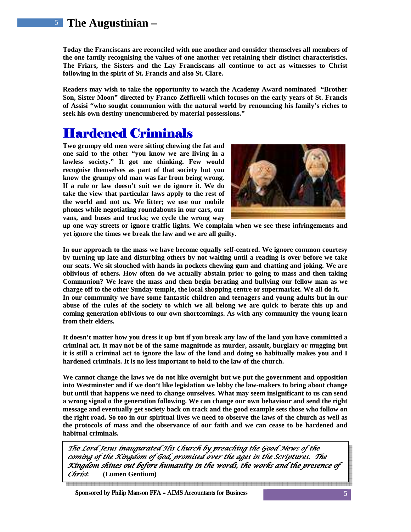**Today the Franciscans are reconciled with one another and consider themselves all members of the one family recognising the values of one another yet retaining their distinct characteristics. The Friars, the Sisters and the Lay Franciscans all continue to act as witnesses to Christ following in the spirit of St. Francis and also St. Clare.** 

**Readers may wish to take the opportunity to watch the Academy Award nominated "Brother Son, Sister Moon" directed by Franco Zeffirelli which focuses on the early years of St. Francis of Assisi "who sought communion with the natural world by renouncing his family's riches to seek his own destiny unencumbered by material possessions."** 

### Hardened Criminals Hardened Criminals

**Two grumpy old men were sitting chewing the fat and one said to the other "you know we are living in a lawless society." It got me thinking. Few would recognise themselves as part of that society but you know the grumpy old man was far from being wrong. If a rule or law doesn't suit we do ignore it. We do take the view that particular laws apply to the rest of the world and not us. We litter; we use our mobile phones while negotiating roundabouts in our cars, our vans, and buses and trucks; we cycle the wrong way** 



**up one way streets or ignore traffic lights. We complain when we see these infringements and yet ignore the times we break the law and we are all guilty.** 

**In our approach to the mass we have become equally self-centred. We ignore common courtesy by turning up late and disturbing others by not waiting until a reading is over before we take our seats. We sit slouched with hands in pockets chewing gum and chatting and joking. We are oblivious of others. How often do we actually abstain prior to going to mass and then taking Communion? We leave the mass and then begin berating and bullying our fellow man as we charge off to the other Sunday temple, the local shopping centre or supermarket. We all do it. In our community we have some fantastic children and teenagers and young adults but in our abuse of the rules of the society to which we all belong we are quick to berate this up and coming generation oblivious to our own shortcomings. As with any community the young learn from their elders.** 

**It doesn't matter how you dress it up but if you break any law of the land you have committed a criminal act. It may not be of the same magnitude as murder, assault, burglary or mugging but it is still a criminal act to ignore the law of the land and doing so habitually makes you and I hardened criminals. It is no less important to hold to the law of the church.** 

**We cannot change the laws we do not like overnight but we put the government and opposition into Westminster and if we don't like legislation we lobby the law-makers to bring about change but until that happens we need to change ourselves. What may seem insignificant to us can send a wrong signal o the generation following. We can change our own behaviour and send the right message and eventually get society back on track and the good example sets those who follow on the right road. So too in our spiritual lives we need to observe the laws of the church as well as the protocols of mass and the observance of our faith and we can cease to be hardened and habitual criminals.**

The Lord Jesus inaugurated His Church by preaching the Good News of the coming of the Kingdom of God, promised over the ages in the Scriptures. The Kingdom shines out before humanity in the words, the works and the presence of Christ*.* **(Lumen Gentium)**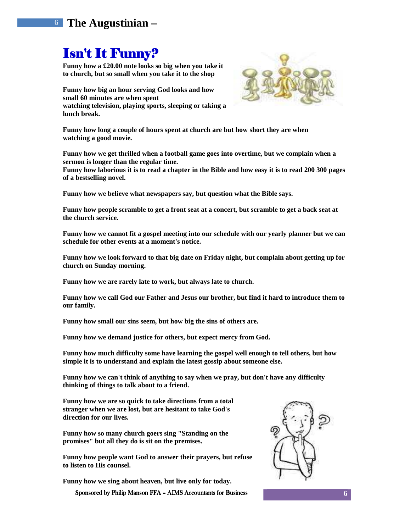### Isn't It Funny?

**Funny how a £20.00 note looks so big when you take it to church, but so small when you take it to the shop** 

**Funny how big an hour serving God looks and how small 60 minutes are when spent watching television, playing sports, sleeping or taking a lunch break.** 



**Funny how long a couple of hours spent at church are but how short they are when watching a good movie.** 

**Funny how we get thrilled when a football game goes into overtime, but we complain when a sermon is longer than the regular time.** 

**Funny how laborious it is to read a chapter in the Bible and how easy it is to read 200 300 pages of a bestselling novel.** 

**Funny how we believe what newspapers say, but question what the Bible says.** 

**Funny how people scramble to get a front seat at a concert, but scramble to get a back seat at the church service.** 

**Funny how we cannot fit a gospel meeting into our schedule with our yearly planner but we can schedule for other events at a moment's notice.** 

**Funny how we look forward to that big date on Friday night, but complain about getting up for church on Sunday morning.** 

**Funny how we are rarely late to work, but always late to church.** 

**Funny how we call God our Father and Jesus our brother, but find it hard to introduce them to our family.** 

**Funny how small our sins seem, but how big the sins of others are.** 

**Funny how we demand justice for others, but expect mercy from God.** 

**Funny how much difficulty some have learning the gospel well enough to tell others, but how simple it is to understand and explain the latest gossip about someone else.** 

**Funny how we can't think of anything to say when we pray, but don't have any difficulty thinking of things to talk about to a friend.** 

**Funny how we are so quick to take directions from a total stranger when we are lost, but are hesitant to take God's direction for our lives.** 

**Funny how so many church goers sing "Standing on the promises" but all they do is sit on the premises.** 

**Funny how people want God to answer their prayers, but refuse to listen to His counsel.** 

**Funny how we sing about heaven, but live only for today.** 



Sponsored by Philip Manson FFA – AIMS Accountants for Business **6**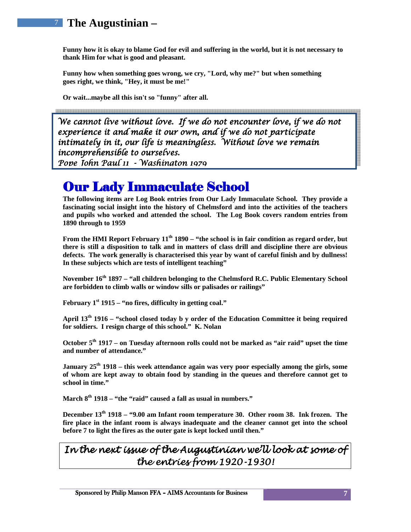**Funny how it is okay to blame God for evil and suffering in the world, but it is not necessary to thank Him for what is good and pleasant.** 

**Funny how when something goes wrong, we cry, "Lord, why me?" but when something goes right, we think, "Hey, it must be me!"** 

**Or wait...maybe all this isn't so "funny" after all.** 

 Pope John Paul 11 - Washington 1979 We cannot live without love. If we do not encounter love, if we do not experience it and make it our own, and if we do not participate intimately in it, our life is meaningless. Without love we remain incomprehensible to ourselves.

### Our Lady Immaculate School

**The following items are Log Book entries from Our Lady Immaculate School. They provide a fascinating social insight into the history of Chelmsford and into the activities of the teachers and pupils who worked and attended the school. The Log Book covers random entries from 1890 through to 1959** 

**From the HMI Report February 11th 1890 – "the school is in fair condition as regard order, but there is still a disposition to talk and in matters of class drill and discipline there are obvious defects. The work generally is characterised this year by want of careful finish and by dullness! In these subjects which are tests of intelligent teaching"** 

**November 16th 1897 – "all children belonging to the Chelmsford R.C. Public Elementary School are forbidden to climb walls or window sills or palisades or railings"** 

**February 1st 1915 – "no fires, difficulty in getting coal."** 

**April 13th 1916 – "school closed today b y order of the Education Committee it being required for soldiers. I resign charge of this school." K. Nolan** 

**October 5th 1917 – on Tuesday afternoon rolls could not be marked as "air raid" upset the time and number of attendance."** 

**January 25th 1918 – this week attendance again was very poor especially among the girls, some of whom are kept away to obtain food by standing in the queues and therefore cannot get to school in time."** 

**March 8th 1918 – "the "raid" caused a fall as usual in numbers."** 

**December 13th 1918 – "9.00 am Infant room temperature 30. Other room 38. Ink frozen. The fire place in the infant room is always inadequate and the cleaner cannot get into the school before 7 to light the fires as the outer gate is kept locked until then."** 

#### In the next issue of the Augustinian we'll look at some of the entries from 1920-1930!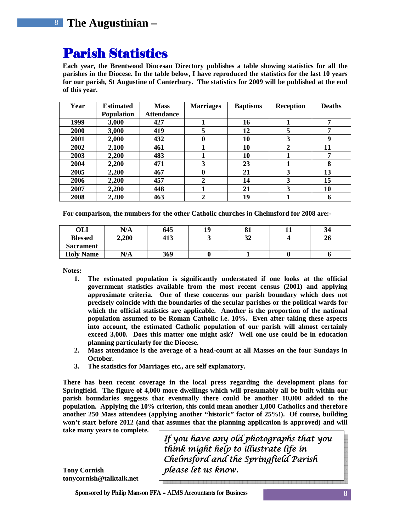### **Parish Statistics**

**Each year, the Brentwood Diocesan Directory publishes a table showing statistics for all the parishes in the Diocese. In the table below, I have reproduced the statistics for the last 10 years for our parish, St Augustine of Canterbury. The statistics for 2009 will be published at the end of this year.** 

| Year | <b>Estimated</b>  | <b>Mass</b>       | <b>Marriages</b> | <b>Baptisms</b> | <b>Reception</b> | <b>Deaths</b> |
|------|-------------------|-------------------|------------------|-----------------|------------------|---------------|
|      | <b>Population</b> | <b>Attendance</b> |                  |                 |                  |               |
| 1999 | 3,000             | 427               |                  | 16              |                  | ៗ             |
| 2000 | 3,000             | 419               | 5                | 12              | 5                | 7             |
| 2001 | 2,000             | 432               | 0                | 10              | 3                | q             |
| 2002 | 2,100             | 461               |                  | 10              | $\mathbf{2}$     | 11            |
| 2003 | 2,200             | 483               |                  | 10              |                  | 7             |
| 2004 | 2,200             | 471               | 3                | 23              |                  | 8             |
| 2005 | 2,200             | 467               | 0                | 21              | 3                | 13            |
| 2006 | 2.200             | 457               | $\mathbf{2}$     | 14              | 3                | 15            |
| 2007 | 2,200             | 448               |                  | 21              | 3                | 10            |
| 2008 | 2,200             | 463               |                  | 19              |                  | h             |

**For comparison, the numbers for the other Catholic churches in Chelmsford for 2008 are:-** 

| OLI              | N/A   | 645 | 19 | 81 | 34 |
|------------------|-------|-----|----|----|----|
| <b>Blessed</b>   | 2,200 | 413 | ັ  | 32 | 26 |
| <b>Sacrament</b> |       |     |    |    |    |
| <b>Holy Name</b> | N/A   | 369 |    |    |    |

**Notes:** 

- **1. The estimated population is significantly understated if one looks at the official government statistics available from the most recent census (2001) and applying approximate criteria. One of these concerns our parish boundary which does not precisely coincide with the boundaries of the secular parishes or the political wards for which the official statistics are applicable. Another is the proportion of the national population assumed to be Roman Catholic i.e. 10%. Even after taking these aspects into account, the estimated Catholic population of our parish will almost certainly exceed 3,000. Does this matter one might ask? Well one use could be in education planning particularly for the Diocese.**
- **2. Mass attendance is the average of a head-count at all Masses on the four Sundays in October.**
- **3. The statistics for Marriages etc., are self explanatory.**

**There has been recent coverage in the local press regarding the development plans for Springfield. The figure of 4,000 more dwellings which will presumably all be built within our parish boundaries suggests that eventually there could be another 10,000 added to the population. Applying the 10% criterion, this could mean another 1,000 Catholics and therefore another 250 Mass attendees (applying another "historic" factor of 25%!). Of course, building won't start before 2012 (and that assumes that the planning application is approved) and will** 

**take many years to complete.** 

If you have any old photographs that you think might help to illustrate life in Chelmsford and the Springfield Parish please let us know.

**Tony Cornish tonycornish@talktalk.net** 

Sponsored by Philip Manson FFA – AIMS Accountants for Business **8**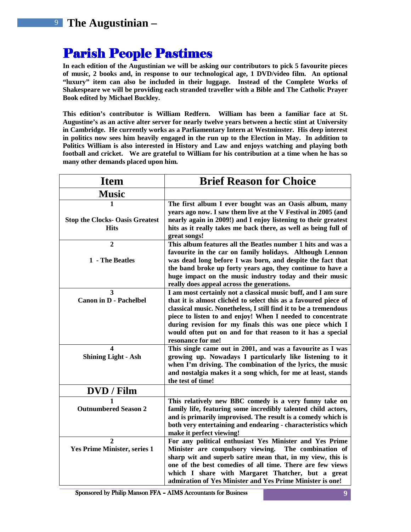### **Parish People Pastimes**

**In each edition of the Augustinian we will be asking our contributors to pick 5 favourite pieces of music, 2 books and, in response to our technological age, 1 DVD/video film. An optional "luxury" item can also be included in their luggage. Instead of the Complete Works of Shakespeare we will be providing each stranded traveller with a Bible and The Catholic Prayer Book edited by Michael Buckley.** 

**This edition's contributor is William Redfern. William has been a familiar face at St. Augustine's as an active alter server for nearly twelve years between a hectic stint at University in Cambridge. He currently works as a Parliamentary Intern at Westminster. His deep interest in politics now sees him heavily engaged in the run up to the Election in May. In addition to Politics William is also interested in History and Law and enjoys watching and playing both football and cricket. We are grateful to William for his contribution at a time when he has so many other demands placed upon him.** 

| <b>Item</b>                            | <b>Brief Reason for Choice</b>                                                                                          |  |  |
|----------------------------------------|-------------------------------------------------------------------------------------------------------------------------|--|--|
| <b>Music</b>                           |                                                                                                                         |  |  |
| 1                                      | The first album I ever bought was an Oasis album, many<br>years ago now. I saw them live at the V Festival in 2005 (and |  |  |
| <b>Stop the Clocks- Oasis Greatest</b> | nearly again in 2009!) and I enjoy listening to their greatest                                                          |  |  |
| <b>Hits</b>                            | hits as it really takes me back there, as well as being full of<br>great songs!                                         |  |  |
| $\overline{2}$                         | This album features all the Beatles number 1 hits and was a                                                             |  |  |
| 1 - The Beatles                        | favourite in the car on family holidays. Although Lennon<br>was dead long before I was born, and despite the fact that  |  |  |
|                                        | the band broke up forty years ago, they continue to have a                                                              |  |  |
|                                        | huge impact on the music industry today and their music                                                                 |  |  |
|                                        | really does appeal across the generations.                                                                              |  |  |
| $\overline{\mathbf{3}}$                | I am most certainly not a classical music buff, and I am sure                                                           |  |  |
| <b>Canon in D - Pachelbel</b>          | that it is almost clichéd to select this as a favoured piece of                                                         |  |  |
|                                        | classical music. Nonetheless, I still find it to be a tremendous                                                        |  |  |
|                                        | piece to listen to and enjoy! When I needed to concentrate                                                              |  |  |
|                                        | during revision for my finals this was one piece which I<br>would often put on and for that reason to it has a special  |  |  |
|                                        | resonance for me!                                                                                                       |  |  |
| $\boldsymbol{\Delta}$                  | This single came out in 2001, and was a favourite as I was                                                              |  |  |
| <b>Shining Light - Ash</b>             | growing up. Nowadays I particularly like listening to it                                                                |  |  |
|                                        | when I'm driving. The combination of the lyrics, the music                                                              |  |  |
|                                        | and nostalgia makes it a song which, for me at least, stands<br>the test of time!                                       |  |  |
| DVD / Film                             |                                                                                                                         |  |  |
| 1                                      | This relatively new BBC comedy is a very funny take on                                                                  |  |  |
| <b>Outnumbered Season 2</b>            | family life, featuring some incredibly talented child actors,                                                           |  |  |
|                                        | and is primarily improvised. The result is a comedy which is                                                            |  |  |
|                                        | both very entertaining and endearing - characteristics which                                                            |  |  |
|                                        | make it perfect viewing!                                                                                                |  |  |
| $\overline{2}$                         | For any political enthusiast Yes Minister and Yes Prime                                                                 |  |  |
| <b>Yes Prime Minister, series 1</b>    | Minister are compulsory viewing.<br>The combination of                                                                  |  |  |
|                                        | sharp wit and superb satire mean that, in my view, this is                                                              |  |  |
|                                        | one of the best comedies of all time. There are few views                                                               |  |  |
|                                        | which I share with Margaret Thatcher, but a great                                                                       |  |  |
|                                        | admiration of Yes Minister and Yes Prime Minister is one!                                                               |  |  |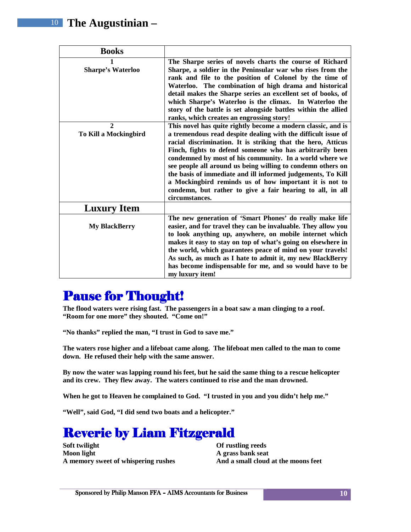| <b>Books</b>                          |                                                                                                                                                                                                                                                                                                                                                                                                                                                                                                                                                                                             |
|---------------------------------------|---------------------------------------------------------------------------------------------------------------------------------------------------------------------------------------------------------------------------------------------------------------------------------------------------------------------------------------------------------------------------------------------------------------------------------------------------------------------------------------------------------------------------------------------------------------------------------------------|
| <b>Sharpe's Waterloo</b>              | The Sharpe series of novels charts the course of Richard<br>Sharpe, a soldier in the Peninsular war who rises from the<br>rank and file to the position of Colonel by the time of<br>Waterloo. The combination of high drama and historical<br>detail makes the Sharpe series an excellent set of books, of<br>which Sharpe's Waterloo is the climax. In Waterloo the<br>story of the battle is set alongside battles within the allied<br>ranks, which creates an engrossing story!                                                                                                        |
| $\mathbf{2}$<br>To Kill a Mockingbird | This novel has quite rightly become a modern classic, and is<br>a tremendous read despite dealing with the difficult issue of<br>racial discrimination. It is striking that the hero, Atticus<br>Finch, fights to defend someone who has arbitrarily been<br>condemned by most of his community. In a world where we<br>see people all around us being willing to condemn others on<br>the basis of immediate and ill informed judgements, To Kill<br>a Mockingbird reminds us of how important it is not to<br>condemn, but rather to give a fair hearing to all, in all<br>circumstances. |
| <b>Luxury Item</b>                    |                                                                                                                                                                                                                                                                                                                                                                                                                                                                                                                                                                                             |
| <b>My BlackBerry</b>                  | The new generation of 'Smart Phones' do really make life<br>easier, and for travel they can be invaluable. They allow you<br>to look anything up, anywhere, on mobile internet which<br>makes it easy to stay on top of what's going on elsewhere in<br>the world, which guarantees peace of mind on your travels!<br>As such, as much as I hate to admit it, my new BlackBerry<br>has become indispensable for me, and so would have to be<br>my luxury item!                                                                                                                              |

### **Pause for Thought!**

**The flood waters were rising fast. The passengers in a boat saw a man clinging to a roof. "Room for one more" they shouted. "Come on!"** 

**"No thanks" replied the man, "I trust in God to save me."** 

**The waters rose higher and a lifeboat came along. The lifeboat men called to the man to come down. He refused their help with the same answer.** 

**By now the water was lapping round his feet, but he said the same thing to a rescue helicopter and its crew. They flew away. The waters continued to rise and the man drowned.** 

**When he got to Heaven he complained to God. "I trusted in you and you didn't help me."** 

**"Well", said God, "I did send two boats and a helicopter."** 

### **Reverie by Liam Fitzgerald**

**Soft twilight Moon light A memory sweet of whispering rushes**  **Of rustling reeds A grass bank seat And a small cloud at the moons feet**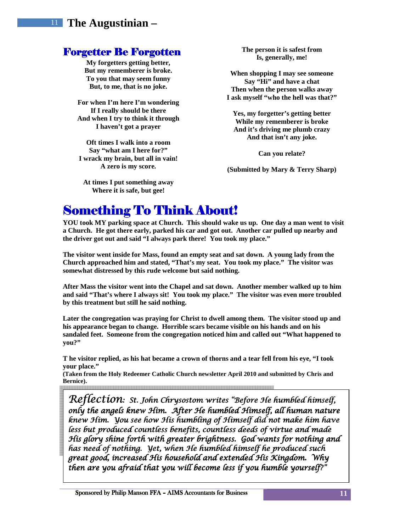#### **Forgetter Be Forgotten**

**My forgetters getting better, But my rememberer is broke. To you that may seem funny But, to me, that is no joke.** 

**For when I'm here I'm wondering If I really should be there And when I try to think it through I haven't got a prayer** 

**Oft times I walk into a room Say "what am I here for?" I wrack my brain, but all in vain! A zero is my score.** 

**At times I put something away Where it is safe, but gee!** 

**The person it is safest from Is, generally, me!** 

**When shopping I may see someone Say "Hi" and have a chat Then when the person walks away I ask myself "who the hell was that?"** 

**Yes, my forgetter's getting better While my rememberer is broke And it's driving me plumb crazy And that isn't any joke.** 

**Can you relate?** 

**(Submitted by Mary & Terry Sharp)** 

### **Something To Think About!**

**YOU took MY parking space at Church. This should wake us up. One day a man went to visit a Church. He got there early, parked his car and got out. Another car pulled up nearby and the driver got out and said "I always park there! You took my place."** 

**The visitor went inside for Mass, found an empty seat and sat down. A young lady from the Church approached him and stated, "That's my seat. You took my place." The visitor was somewhat distressed by this rude welcome but said nothing.** 

**After Mass the visitor went into the Chapel and sat down. Another member walked up to him and said "That's where I always sit! You took my place." The visitor was even more troubled by this treatment but still he said nothing.** 

**Later the congregation was praying for Christ to dwell among them. The visitor stood up and his appearance began to change. Horrible scars became visible on his hands and on his sandaled feet. Someone from the congregation noticed him and called out "What happened to you?"** 

**T he visitor replied, as his hat became a crown of thorns and a tear fell from his eye, "I took your place."** 

**(Taken from the Holy Redeemer Catholic Church newsletter April 2010 and submitted by Chris and Bernice).** 

Reflection: St. John Chrysostom writes "Before He humbled himself, only the angels knew Him. After He humbled Himself, all human nature knew Him. You see how His humbling of Himself did not make him have less but produced countless benefits, countless deeds of virtue and made His glory shine forth with greater brightness. God wants for nothing and has need of nothing. Yet, when He humbled himself he produced such great good, increased His household and extended His Kingdom. Why then are you afraid that you will become less if you humble yourself?"

 $\overline{a}$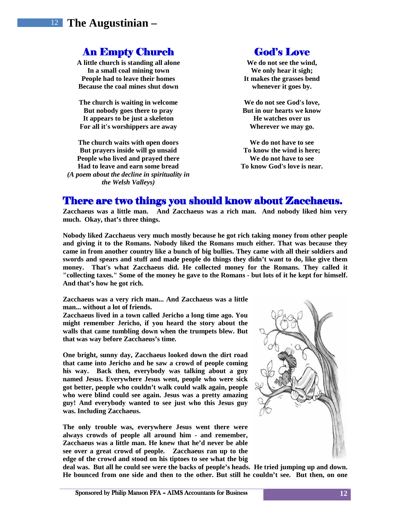#### **An Empty Church**

**A little church is standing all alone In a small coal mining town People had to leave their homes Because the coal mines shut down** 

**The church is waiting in welcome But nobody goes there to pray It appears to be just a skeleton For all it's worshippers are away** 

**The church waits with open doors But prayers inside will go unsaid People who lived and prayed there Had to leave and earn some bread**  *(A poem about the decline in spirituality in the Welsh Valleys)* 

#### God's Love

**We do not see the wind, We only hear it sigh; It makes the grasses bend whenever it goes by.** 

**We do not see God's love, But in our hearts we know He watches over us Wherever we may go.** 

**We do not have to see To know the wind is here; We do not have to see To know God's love is near.** 

#### There are two things you should know about Zacchaeus.

**Zacchaeus was a little man. And Zacchaeus was a rich man. And nobody liked him very much. Okay, that's three things.** 

**Nobody liked Zacchaeus very much mostly because he got rich taking money from other people and giving it to the Romans. Nobody liked the Romans much either. That was because they came in from another country like a bunch of big bullies. They came with all their soldiers and swords and spears and stuff and made people do things they didn't want to do, like give them money. That's what Zacchaeus did. He collected money for the Romans. They called it "collecting taxes." Some of the money he gave to the Romans - but lots of it he kept for himself. And that's how he got rich.** 

**Zacchaeus was a very rich man... And Zacchaeus was a little man... without a lot of friends.** 

**Zacchaeus lived in a town called Jericho a long time ago. You might remember Jericho, if you heard the story about the walls that came tumbling down when the trumpets blew. But that was way before Zacchaeus's time.** 

**One bright, sunny day, Zacchaeus looked down the dirt road that came into Jericho and he saw a crowd of people coming his way. Back then, everybody was talking about a guy named Jesus. Everywhere Jesus went, people who were sick got better, people who couldn't walk could walk again, people who were blind could see again. Jesus was a pretty amazing guy! And everybody wanted to see just who this Jesus guy was. Including Zacchaeus.** 

**The only trouble was, everywhere Jesus went there were always crowds of people all around him - and remember, Zacchaeus was a little man. He knew that he'd never be able see over a great crowd of people. Zacchaeus ran up to the edge of the crowd and stood on his tiptoes to see what the big** 



**deal was. But all he could see were the backs of people's heads. He tried jumping up and down. He bounced from one side and then to the other. But still he couldn't see. But then, on one**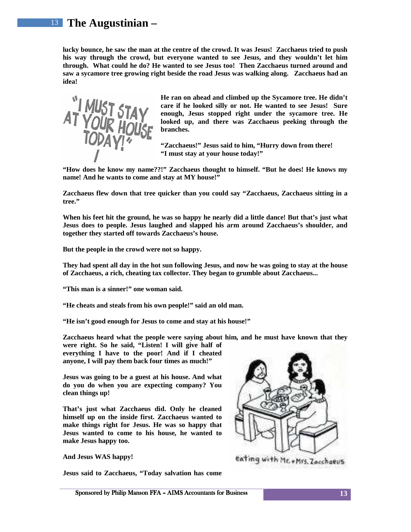**lucky bounce, he saw the man at the centre of the crowd. It was Jesus! Zacchaeus tried to push his way through the crowd, but everyone wanted to see Jesus, and they wouldn't let him through. What could he do? He wanted to see Jesus too! Then Zacchaeus turned around and saw a sycamore tree growing right beside the road Jesus was walking along. Zacchaeus had an idea!** 



**He ran on ahead and climbed up the Sycamore tree. He didn't care if he looked silly or not. He wanted to see Jesus! Sure enough, Jesus stopped right under the sycamore tree. He looked up, and there was Zacchaeus peeking through the branches.** 

**"Zacchaeus!" Jesus said to him, "Hurry down from there! "I must stay at your house today!"** 

**"How does he know my name??!" Zacchaeus thought to himself. "But he does! He knows my name! And he wants to come and stay at MY house!"** 

**Zacchaeus flew down that tree quicker than you could say "Zacchaeus, Zacchaeus sitting in a tree."** 

**When his feet hit the ground, he was so happy he nearly did a little dance! But that's just what Jesus does to people. Jesus laughed and slapped his arm around Zacchaeus's shoulder, and together they started off towards Zacchaeus's house.** 

**But the people in the crowd were not so happy.** 

**They had spent all day in the hot sun following Jesus, and now he was going to stay at the house of Zacchaeus, a rich, cheating tax collector. They began to grumble about Zacchaeus...** 

**"This man is a sinner!" one woman said.** 

**"He cheats and steals from his own people!" said an old man.** 

**"He isn't good enough for Jesus to come and stay at his house!"** 

**Zacchaeus heard what the people were saying about him, and he must have known that they** 

**were right. So he said, "Listen! I will give half of everything I have to the poor! And if I cheated anyone, I will pay them back four times as much!"** 

**Jesus was going to be a guest at his house. And what do you do when you are expecting company? You clean things up!** 

**That's just what Zacchaeus did. Only he cleaned himself up on the inside first. Zacchaeus wanted to make things right for Jesus. He was so happy that Jesus wanted to come to his house, he wanted to make Jesus happy too.** 

**And Jesus WAS happy!** 

**Jesus said to Zacchaeus, "Today salvation has come** 



eating with Mc + Mrs. Zaechaeus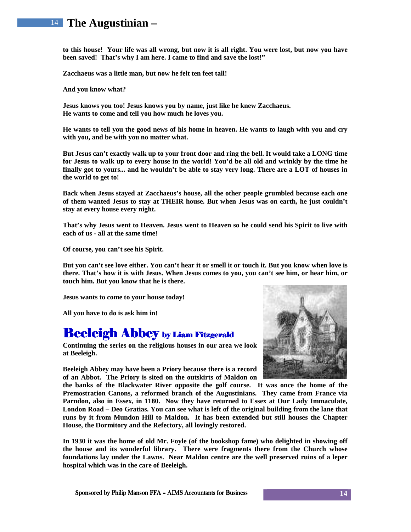**to this house! Your life was all wrong, but now it is all right. You were lost, but now you have been saved! That's why I am here. I came to find and save the lost!"** 

**Zacchaeus was a little man, but now he felt ten feet tall!** 

**And you know what?** 

**Jesus knows you too! Jesus knows you by name, just like he knew Zacchaeus. He wants to come and tell you how much he loves you.** 

**He wants to tell you the good news of his home in heaven. He wants to laugh with you and cry with you, and be with you no matter what.** 

**But Jesus can't exactly walk up to your front door and ring the bell. It would take a LONG time for Jesus to walk up to every house in the world! You'd be all old and wrinkly by the time he finally got to yours... and he wouldn't be able to stay very long. There are a LOT of houses in the world to get to!** 

**Back when Jesus stayed at Zacchaeus's house, all the other people grumbled because each one of them wanted Jesus to stay at THEIR house. But when Jesus was on earth, he just couldn't stay at every house every night.** 

**That's why Jesus went to Heaven. Jesus went to Heaven so he could send his Spirit to live with each of us - all at the same time!** 

**Of course, you can't see his Spirit.** 

**But you can't see love either. You can't hear it or smell it or touch it. But you know when love is there. That's how it is with Jesus. When Jesus comes to you, you can't see him, or hear him, or touch him. But you know that he is there.** 

**Jesus wants to come to your house today!** 

**All you have to do is ask him in!**

### **Beeleigh Abbey by Liam Fitzgerald**

**Continuing the series on the religious houses in our area we look at Beeleigh.** 

**Beeleigh Abbey may have been a Priory because there is a record of an Abbot. The Priory is sited on the outskirts of Maldon on** 



**the banks of the Blackwater River opposite the golf course. It was once the home of the Premostration Canons, a reformed branch of the Augustinians. They came from France via Parndon, also in Essex, in 1180. Now they have returned to Essex at Our Lady Immaculate, London Road – Deo Gratias. You can see what is left of the original building from the lane that runs by it from Mundon Hill to Maldon. It has been extended but still houses the Chapter House, the Dormitory and the Refectory, all lovingly restored.** 

**In 1930 it was the home of old Mr. Foyle (of the bookshop fame) who delighted in showing off the house and its wonderful library. There were fragments there from the Church whose foundations lay under the Lawns. Near Maldon centre are the well preserved ruins of a leper hospital which was in the care of Beeleigh.**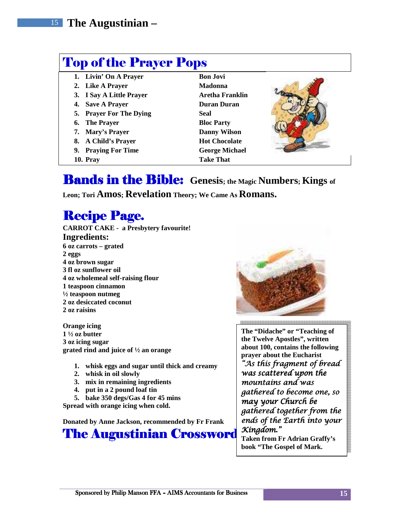### Top of the Prayer Pops

- 1. **Livin' On A Prayer Bon Jovi**
- 2. Like A Prayer Madonna
- 
- **5. Prayer For The Dying Seal**
- **6.** The Prayer Bloc Party
- 
- 
- 
- 
- **3. I Say A Little Prayer Aretha Franklin 4.** Save A Prayer **Duran Duran 7. Mary's Prayer Danny Wilson 8. A Child's Prayer Hot Chocolate 9. Praying For Time George Michael <b>George Michael 10. Pray Take That**



### Bands in the Bible: **Genesis; the Magic Numbers; Kings of**

**Leon; Tori Amos; Revelation Theory; We Came As Romans.** 

## **Recipe Page.**

**CARROT CAKE - a Presbytery favourite! Ingredients: 6 oz carrots – grated 2 eggs 4 oz brown sugar 3 fl oz sunflower oil 4 oz wholemeal self-raising flour 1 teaspoon cinnamon ½ teaspoon nutmeg 2 oz desiccated coconut 2 oz raisins** 

**Orange icing 1 ½ oz butter 3 oz icing sugar grated rind and juice of ½ an orange** 

- **1. whisk eggs and sugar until thick and creamy**
- **2. whisk in oil slowly**
- **3. mix in remaining ingredients**
- **4. put in a 2 pound loaf tin**
- **5. bake 350 degs/Gas 4 for 45 mins**

**Spread with orange icing when cold.** 

**Donated by Anne Jackson, recommended by Fr Frank** 





**The "Didache" or "Teaching of the Twelve Apostles", written about 100, contains the following prayer about the Eucharist**  "As this fragment of bread was scattered upon the mountains and was gathered to become one, so may your Church be gathered together from the ends of the Earth into your Kingdom." **Taken from Fr Adrian Graffy's book "The Gospel of Mark.** 

Sponsored by Philip Manson FFA – AIMS Accountants for Business **15**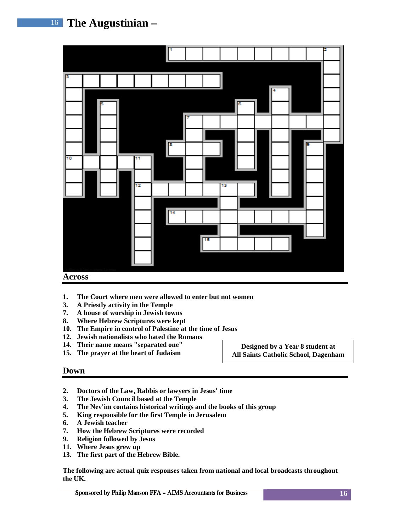

#### **Across**

- **1. The Court where men were allowed to enter but not women**
- **3. A Priestly activity in the Temple**
- **7. A house of worship in Jewish towns**
- **8. Where Hebrew Scriptures were kept**
- **10. The Empire in control of Palestine at the time of Jesus**
- **12. Jewish nationalists who hated the Romans**
- **14. Their name means "separated one"**
- **15. The prayer at the heart of Judaism**

**Designed by a Year 8 student at All Saints Catholic School, Dagenham** 

#### **Down**

- **2. Doctors of the Law, Rabbis or lawyers in Jesus' time**
- **3. The Jewish Council based at the Temple**
- **4. The Nev'im contains historical writings and the books of this group**
- **5. King responsible for the first Temple in Jerusalem**
- **6. A Jewish teacher**
- **7. How the Hebrew Scriptures were recorded**
- **9. Religion followed by Jesus**
- **11. Where Jesus grew up**
- **13. The first part of the Hebrew Bible.**

**The following are actual quiz responses taken from national and local broadcasts throughout the UK.**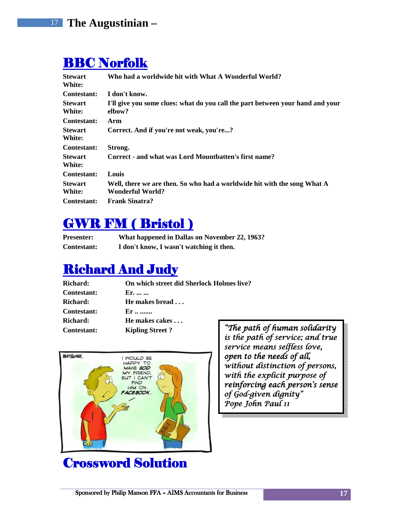### BBC Norfolk

| <b>Stewart</b><br>White: | Who had a worldwide hit with What A Wonderful World?                                         |
|--------------------------|----------------------------------------------------------------------------------------------|
| Contestant:              | I don't know.                                                                                |
| <b>Stewart</b><br>White: | I'll give you some clues: what do you call the part between your hand and your<br>elbow?     |
| Contestant:              | Arm                                                                                          |
| <b>Stewart</b><br>White: | Correct. And if you're not weak, you're?                                                     |
| <b>Contestant:</b>       | Strong.                                                                                      |
| <b>Stewart</b><br>White: | Correct - and what was Lord Mountbatten's first name?                                        |
| <b>Contestant:</b>       | Louis                                                                                        |
| <b>Stewart</b><br>White: | Well, there we are then. So who had a worldwide hit with the song What A<br>Wonderful World? |
| Contestant:              | <b>Frank Sinatra?</b>                                                                        |

### GWR FM ( Bristol )

| <b>Presenter:</b>  | What happened in Dallas on November 22, 1963? |
|--------------------|-----------------------------------------------|
| <b>Contestant:</b> | I don't know, I wasn't watching it then.      |

### **Richard And Judy**

| <b>Richard:</b>    | On which street did Sherlock Holmes live? |         |  |
|--------------------|-------------------------------------------|---------|--|
| <b>Contestant:</b> | Er.                                       |         |  |
| <b>Richard:</b>    | He makes bread                            |         |  |
| <b>Contestant:</b> | $Er \dots$                                |         |  |
| Richard:           | He makes cakes                            |         |  |
| <b>Contestant:</b> | <b>Kipling Street?</b>                    | "The pa |  |



### Crossword Solution

ath of human solidarity is the path of service; and true service means selfless love, open to the needs of all, without distinction of persons, with the explicit purpose of reinforcing each person's sense of God-given dignity" Pope John Paul 11